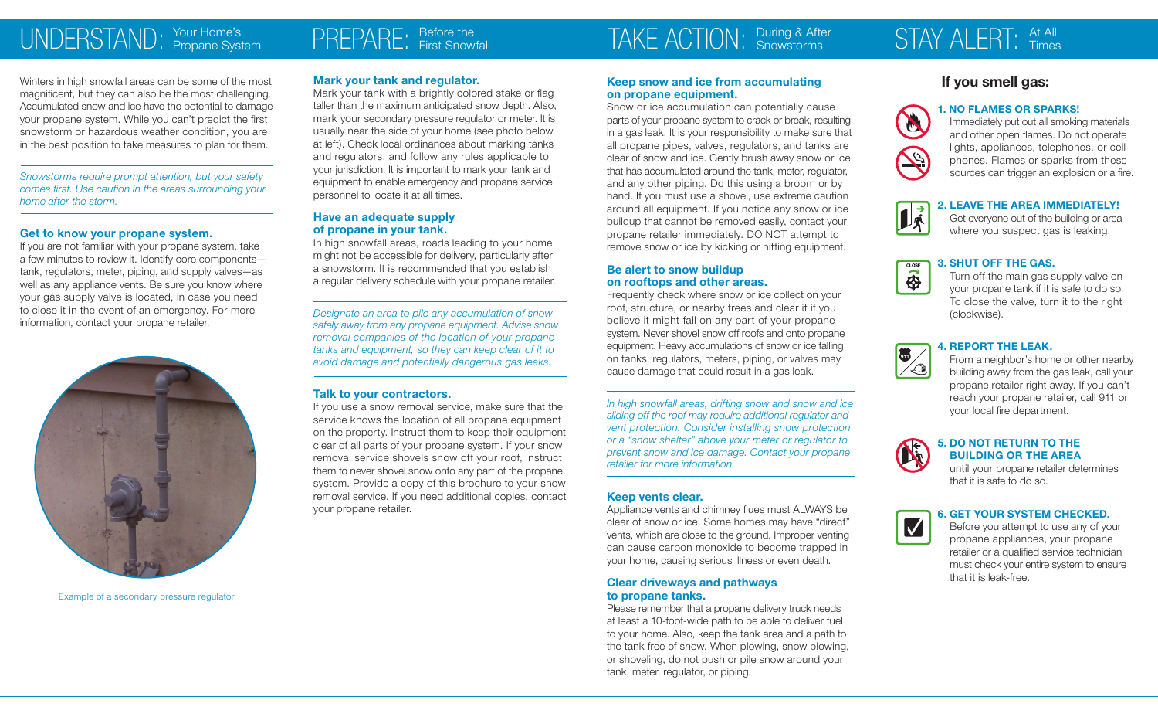### UNDERSTAND: Your Home's

Winters in high snowfall areas can be some of the most magnificent, but they can also be the most challenging. Accumulated snow and ice have the potential to damage your propane system. While you can't predict the first snowstorm or hazardous weather condition, you are in the best position to take measures to plan for them.

*Snowstorms require prompt attention, but your safety comes first. Use caution in the areas surrounding your home after the storm.*

#### **Get to know your propane system.**

If you are not familiar with your propane system, take a few minutes to review it. Identify core components tank, regulators, meter, piping, and supply valves—as well as any appliance vents. Be sure you know where your gas supply valve is located, in case you need to close it in the event of an emergency. For more information, contact your propane retailer.



Example of a secondary pressure regulator

#### **Mark your tank and regulator.**

 $P\overline{\text{RPEP}}$  $R\overline{\text{R}}$ . Before the

Mark your tank with a brightly colored stake or flag taller than the maximum anticipated snow depth. Also, mark your secondary pressure regulator or meter. It is usually near the side of your home (see photo below at left). Check local ordinances about marking tanks and regulators, and follow any rules applicable to your jurisdiction. It is important to mark your tank and equipment to enable emergency and propane service personnel to locate it at all times.

#### **Have an adequate supply of propane in your tank.**

In high snowfall areas, roads leading to your home might not be accessible for delivery, particularly after a snowstorm. It is recommended that you establish a regular delivery schedule with your propane retailer.

*Designate an area to pile any accumulation of snow safely away from any propane equipment. Advise snow removal companies of the location of your propane tanks and equipment, so they can keep clear of it to avoid damage and potentially dangerous gas leaks.*

#### **Talk to your contractors.**

If you use a snow removal service, make sure that the service knows the location of all propane equipment on the property. Instruct them to keep their equipment clear of all parts of your propane system. If your snow removal service shovels snow off your roof, instruct them to never shovel snow onto any part of the propane system. Provide a copy of this brochure to your snow removal service. If you need additional copies, contact your propane retailer.

# TAKE ACTION. During & After

**Keep snow and ice from accumulating** 

Snow or ice accumulation can potentially cause parts of your propane system to crack or break, resulting in a gas leak. It is your responsibility to make sure that all propane pipes, valves, regulators, and tanks are clear of snow and ice. Gently brush away snow or ice that has accumulated around the tank, meter, regulator, and any other piping. Do this using a broom or by hand. If you must use a shovel, use extreme caution around all equipment. If you notice any snow or ice buildup that cannot be removed easily, contact your propane retailer immediately. DO NOT attempt to remove snow or ice by kicking or hitting equipment.

Frequently check where snow or ice collect on your roof, structure, or nearby trees and clear it if you believe it might fall on any part of your propane system. Never shovel snow off roofs and onto propane equipment. Heavy accumulations of snow or ice falling on tanks, regulators, meters, piping, or valves may cause damage that could result in a gas leak.

*In high snowfall areas, drifting snow and snow and ice sliding off the roof may require additional regulator and vent protection. Consider installing snow protection or a "snow shelter" above your meter or regulator to prevent snow and ice damage. Contact your propane* 

Appliance vents and chimney flues must ALWAYS be clear of snow or ice. Some homes may have "direct" vents, which are close to the ground. Improper venting can cause carbon monoxide to become trapped in your home, causing serious illness or even death.

**on propane equipment.**

**Be alert to snow buildup on rooftops and other areas.**

*retailer for more information.* 

**Clear driveways and pathways** 

tank, meter, regulator, or piping.

**Keep vents clear.**

# During & After STAY ALERT: At All<br>Snowstorms STAY ALERT: Times

### **If you smell gas:**



**1. NO FLAMES OR SPARKS!**  Immediately put out all smoking materials and other open flames. Do not operate lights, appliances, telephones, or cell phones. Flames or sparks from these sources can trigger an explosion or a fire.

#### **2. LEAVE THE AREA IMMEDIATELY!**



**911**

Get everyone out of the building or area where you suspect gas is leaking.



Turn off the main gas supply valve on your propane tank if it is safe to do so. To close the valve, turn it to the right (clockwise).

#### **4. REPORT THE LEAK.**

From a neighbor's home or other nearby building away from the gas leak, call your propane retailer right away. If you can't reach your propane retailer, call 911 or your local fire department.



#### **5. DO NOT RETURN TO THE BUILDING OR THE AREA**

until your propane retailer determines that it is safe to do so.





Before you attempt to use any of your propane appliances, your propane retailer or a qualified service technician must check your entire system to ensure that it is leak-free.

**to propane tanks.** Please remember that a propane delivery truck needs at least a 10-foot-wide path to be able to deliver fuel to your home. Also, keep the tank area and a path to the tank free of snow. When plowing, snow blowing, or shoveling, do not push or pile snow around your